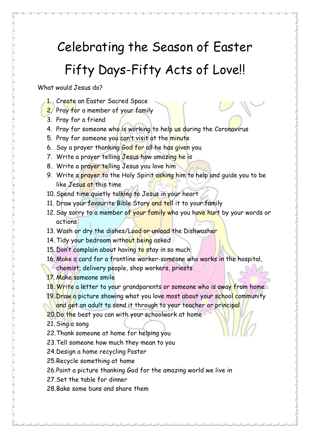## Celebrating the Season of Easter Fifty Days-Fifty Acts of Love!!

What would Jesus do?

- 1. Create an Easter Sacred Space
- 2. Pray for a member of your family
- 3. Pray for a friend
- 4. Pray for someone who is working to help us during the Coronavirus
- 5. Pray for someone you can't visit at the minute
- 6. Say a prayer thanking God for all he has given you
- 7. Write a prayer telling Jesus how amazing he is
- 8. Write a prayer telling Jesus you love him
- 9. Write a prayer to the Holy Spirit asking him to help and guide you to be like Jesus at this time
- 10. Spend time quietly talking to Jesus in your heart
- 11. Draw your favourite Bible Story and tell it to your family
- 12. Say sorry to a member of your family who you have hurt by your words or actions
- 13. Wash or dry the dishes/Load or unload the Dishwasher
- 14. Tidy your bedroom without being asked
- 15. Don't complain about having to stay in so much
- 16. Make a card for a frontline worker-someone who works in the hospital,
	- chemist, delivery people, shop workers, priests
- 17. Make someone smile
- 18. Write a letter to your grandparents or someone who is away from home
- 19. Draw a picture showing what you love most about your school community and get an adult to send it through to your teacher or principal
- 20.Do the best you can with your schoolwork at home
- 21. Sing a song
- 22.Thank someone at home for helping you
- 23.Tell someone how much they mean to you
- 24.Design a home recycling Poster
- 25.Recycle something at home
- 26.Paint a picture thanking God for the amazing world we live in
- 27.Set the table for dinner
- 28.Bake some buns and share them